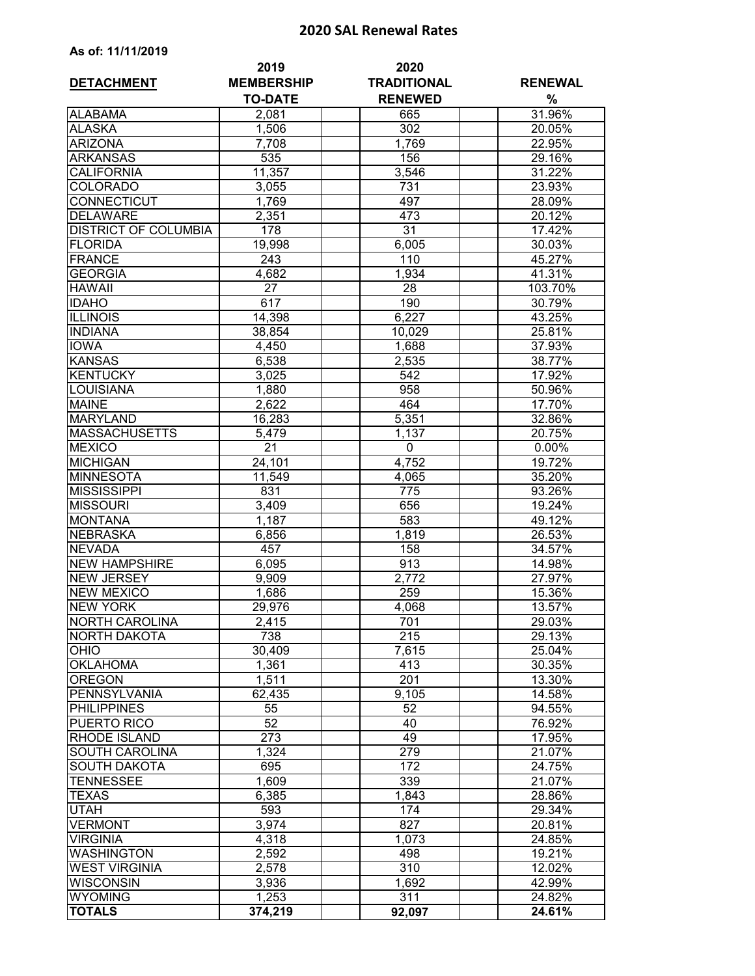## **2020 SAL Renewal Rates**

| As of: 11/11/2019           |                           |                            |                |
|-----------------------------|---------------------------|----------------------------|----------------|
| <b>DETACHMENT</b>           | 2019<br><b>MEMBERSHIP</b> | 2020<br><b>TRADITIONAL</b> | <b>RENEWAL</b> |
| <b>ALABAMA</b>              | <b>TO-DATE</b><br>2,081   | <b>RENEWED</b><br>665      | %<br>31.96%    |
| <b>ALASKA</b>               | 1,506                     | 302                        | 20.05%         |
| <b>ARIZONA</b>              | 7,708                     | 1,769                      | 22.95%         |
| <b>ARKANSAS</b>             | 535                       | 156                        | 29.16%         |
| <b>CALIFORNIA</b>           | 11,357                    | 3,546                      | 31.22%         |
| <b>COLORADO</b>             | 3,055                     | 731                        | 23.93%         |
| <b>CONNECTICUT</b>          | 1,769                     | 497                        | 28.09%         |
| <b>DELAWARE</b>             | 2,351                     | 473                        | 20.12%         |
| <b>DISTRICT OF COLUMBIA</b> | 178                       | 31                         | 17.42%         |
| <b>FLORIDA</b>              | 19,998                    | 6,005                      | 30.03%         |
| FRANCE                      | 243                       | 110                        | 45.27%         |
| <b>GEORGIA</b>              | 4,682                     | 1,934                      | 41.31%         |
| <b>HAWAII</b>               | 27                        | 28                         | 103.70%        |
| <b>IDAHO</b>                | 617                       | 190                        | 30.79%         |
| <b>ILLINOIS</b>             | 14,398                    | 6,227                      | 43.25%         |
| <b>INDIANA</b>              | 38,854                    | 10,029                     | 25.81%         |
| <b>IOWA</b>                 | 4,450                     | 1,688                      | 37.93%         |
| <b>KANSAS</b>               | 6,538                     | 2,535                      | 38.77%         |
| <b>KENTUCKY</b>             | 3,025                     | 542                        | 17.92%         |
| <b>LOUISIANA</b>            | 1,880                     | 958                        | 50.96%         |
| <b>MAINE</b>                | 2,622                     | 464                        | 17.70%         |
| <b>MARYLAND</b>             | 16,283                    | 5,351                      | 32.86%         |
| <b>MASSACHUSETTS</b>        | 5,479                     | 1,137                      | 20.75%         |
| <b>MEXICO</b>               | 21                        | 0                          | 0.00%          |
| <b>MICHIGAN</b>             | 24,101                    | 4,752                      | 19.72%         |
| <b>MINNESOTA</b>            | 11,549                    | 4,065                      | 35.20%         |
| <b>MISSISSIPPI</b>          | 831                       | 775                        | 93.26%         |
| <b>MISSOURI</b>             | 3,409                     | 656                        | 19.24%         |
| <b>MONTANA</b>              | 1,187                     | 583                        | 49.12%         |
| <b>NEBRASKA</b>             | 6,856                     | 1,819                      | 26.53%         |
| <b>NEVADA</b>               | 457                       | 158                        | 34.57%         |
| <b>NEW HAMPSHIRE</b>        | 6,095                     | 913                        | 14.98%         |
| <b>NEW JERSEY</b>           | 9,909                     | 2,772                      | 27.97%         |
| <b>NEW MEXICO</b>           | 1,686                     | 259                        | 15.36%         |
| <b>NEW YORK</b>             | 29,976                    | 4,068                      | 13.57%         |
| <b>NORTH CAROLINA</b>       | 2,415                     | 701                        | 29.03%         |
| <b>NORTH DAKOTA</b>         | 738                       | 215                        | 29.13%         |
| <b>OHIO</b>                 | 30,409                    | 7,615                      | 25.04%         |
| <b>OKLAHOMA</b>             | 1,361                     | 413                        | 30.35%         |
| <b>OREGON</b>               | 1,511                     | 201                        | 13.30%         |
| PENNSYLVANIA                | 62,435                    | 9,105                      | 14.58%         |
| <b>PHILIPPINES</b>          | 55                        | 52                         | 94.55%         |
| <b>PUERTO RICO</b>          | $\overline{52}$           | 40                         | 76.92%         |
| <b>RHODE ISLAND</b>         | 273                       | 49                         | 17.95%         |
| <b>SOUTH CAROLINA</b>       | 1,324                     | 279                        | 21.07%         |
| <b>SOUTH DAKOTA</b>         | 695                       | 172                        | 24.75%         |
| <b>TENNESSEE</b>            | 1,609                     | 339                        | 21.07%         |
| <b>TEXAS</b>                | 6,385                     | 1,843                      | 28.86%         |
| <b>UTAH</b>                 | 593                       | 174                        | 29.34%         |
| <b>VERMONT</b>              | 3,974                     | 827                        | 20.81%         |
| <b>VIRGINIA</b>             | 4,318                     | 1,073                      | 24.85%         |
| <b>WASHINGTON</b>           | 2,592                     | 498                        | 19.21%         |
| <b>WEST VIRGINIA</b>        | 2,578                     | 310                        | 12.02%         |
| <b>WISCONSIN</b>            | 3,936                     | 1,692                      | 42.99%         |
| <b>WYOMING</b>              | 1,253                     | 311                        | 24.82%         |
| <b>TOTALS</b>               | 374,219                   | 92,097                     | 24.61%         |